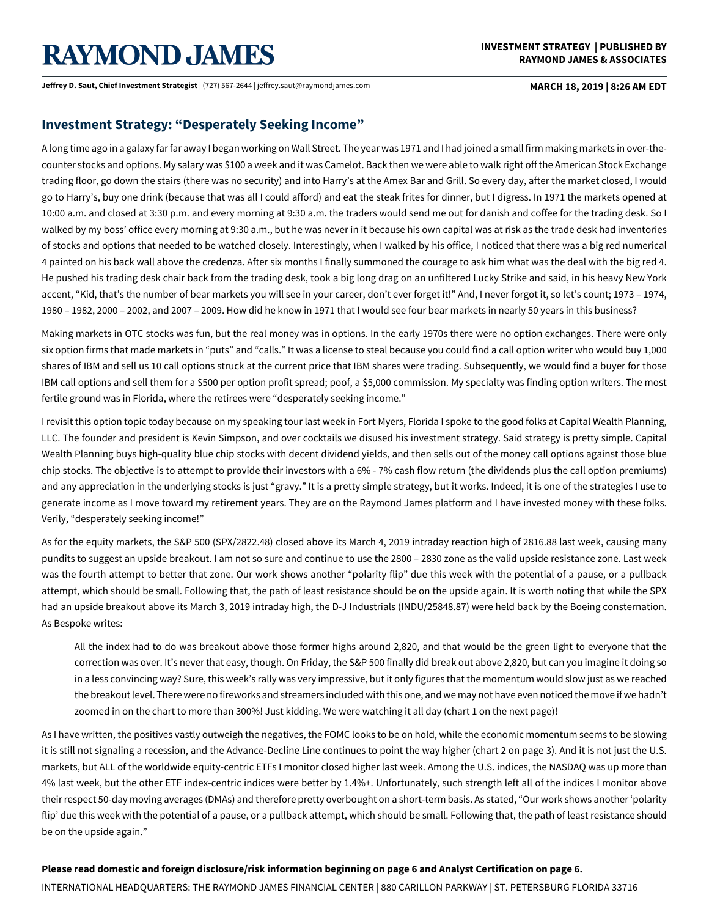# **RAYMOND JAMES**

**Jeffrey D. Saut, Chief Investment Strategist** | (727) 567-2644 | jeffrey.saut@raymondjames.com **MARCH 18, 2019 | 8:26 AM EDT**

# **Investment Strategy: "Desperately Seeking Income"**

A long time ago in a galaxy far far away I began working on Wall Street. The year was 1971 and I had joined a small firm making markets in over-thecounter stocks and options. My salary was \$100 a week and it was Camelot. Back then we were able to walk right off the American Stock Exchange trading floor, go down the stairs (there was no security) and into Harry's at the Amex Bar and Grill. So every day, after the market closed, I would go to Harry's, buy one drink (because that was all I could afford) and eat the steak frites for dinner, but I digress. In 1971 the markets opened at 10:00 a.m. and closed at 3:30 p.m. and every morning at 9:30 a.m. the traders would send me out for danish and coffee for the trading desk. So I walked by my boss' office every morning at 9:30 a.m., but he was never in it because his own capital was at risk as the trade desk had inventories of stocks and options that needed to be watched closely. Interestingly, when I walked by his office, I noticed that there was a big red numerical 4 painted on his back wall above the credenza. After six months I finally summoned the courage to ask him what was the deal with the big red 4. He pushed his trading desk chair back from the trading desk, took a big long drag on an unfiltered Lucky Strike and said, in his heavy New York accent, "Kid, that's the number of bear markets you will see in your career, don't ever forget it!" And, I never forgot it, so let's count; 1973 – 1974, 1980 – 1982, 2000 – 2002, and 2007 – 2009. How did he know in 1971 that I would see four bear markets in nearly 50 years in this business?

Making markets in OTC stocks was fun, but the real money was in options. In the early 1970s there were no option exchanges. There were only six option firms that made markets in "puts" and "calls." It was a license to steal because you could find a call option writer who would buy 1,000 shares of IBM and sell us 10 call options struck at the current price that IBM shares were trading. Subsequently, we would find a buyer for those IBM call options and sell them for a \$500 per option profit spread; poof, a \$5,000 commission. My specialty was finding option writers. The most fertile ground was in Florida, where the retirees were "desperately seeking income."

I revisit this option topic today because on my speaking tour last week in Fort Myers, Florida I spoke to the good folks at Capital Wealth Planning, LLC. The founder and president is Kevin Simpson, and over cocktails we disused his investment strategy. Said strategy is pretty simple. Capital Wealth Planning buys high-quality blue chip stocks with decent dividend yields, and then sells out of the money call options against those blue chip stocks. The objective is to attempt to provide their investors with a 6% - 7% cash flow return (the dividends plus the call option premiums) and any appreciation in the underlying stocks is just "gravy." It is a pretty simple strategy, but it works. Indeed, it is one of the strategies I use to generate income as I move toward my retirement years. They are on the Raymond James platform and I have invested money with these folks. Verily, "desperately seeking income!"

As for the equity markets, the S&P 500 (SPX/2822.48) closed above its March 4, 2019 intraday reaction high of 2816.88 last week, causing many pundits to suggest an upside breakout. I am not so sure and continue to use the 2800 – 2830 zone as the valid upside resistance zone. Last week was the fourth attempt to better that zone. Our work shows another "polarity flip" due this week with the potential of a pause, or a pullback attempt, which should be small. Following that, the path of least resistance should be on the upside again. It is worth noting that while the SPX had an upside breakout above its March 3, 2019 intraday high, the D-J Industrials (INDU/25848.87) were held back by the Boeing consternation. As Bespoke writes:

All the index had to do was breakout above those former highs around 2,820, and that would be the green light to everyone that the correction was over. It's never that easy, though. On Friday, the S&P 500 finally did break out above 2,820, but can you imagine it doing so in a less convincing way? Sure, this week's rally was very impressive, but it only figures that the momentum would slow just as we reached the breakout level. There were no fireworks and streamers included with this one, and we may not have even noticed the move if we hadn't zoomed in on the chart to more than 300%! Just kidding. We were watching it all day (chart 1 on the next page)!

As I have written, the positives vastly outweigh the negatives, the FOMC looks to be on hold, while the economic momentum seems to be slowing it is still not signaling a recession, and the Advance-Decline Line continues to point the way higher (chart 2 on page 3). And it is not just the U.S. markets, but ALL of the worldwide equity-centric ETFs I monitor closed higher last week. Among the U.S. indices, the NASDAQ was up more than 4% last week, but the other ETF index-centric indices were better by 1.4%+. Unfortunately, such strength left all of the indices I monitor above their respect 50-day moving averages (DMAs) and therefore pretty overbought on a short-term basis. As stated, "Our work shows another 'polarity flip' due this week with the potential of a pause, or a pullback attempt, which should be small. Following that, the path of least resistance should be on the upside again."

**Please read domestic and foreign disclosure/risk information beginning on page 6 and Analyst Certification on page 6.**

INTERNATIONAL HEADQUARTERS: THE RAYMOND JAMES FINANCIAL CENTER | 880 CARILLON PARKWAY | ST. PETERSBURG FLORIDA 33716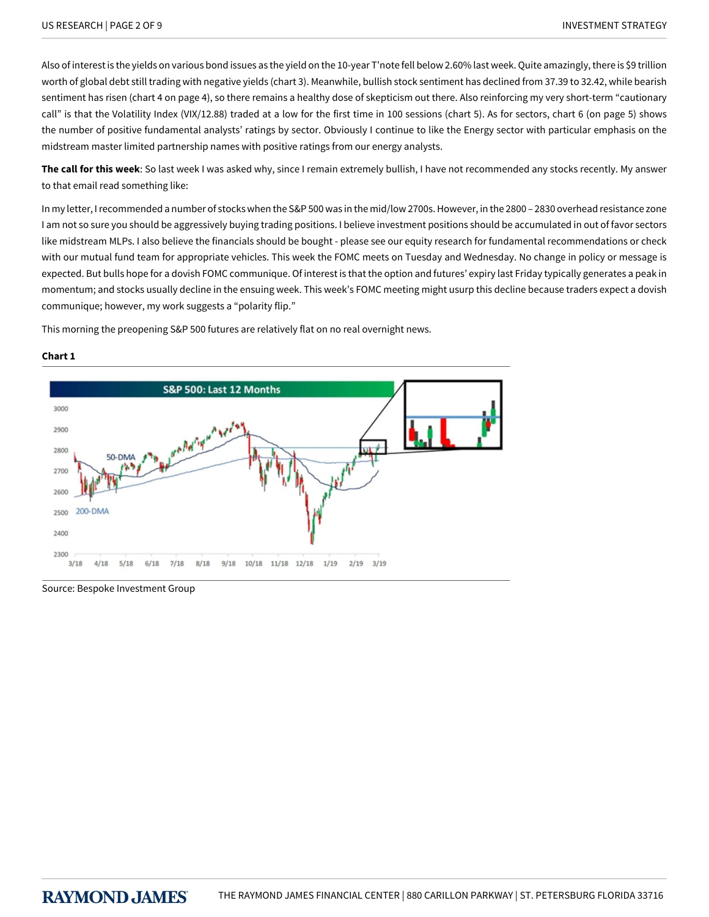Also of interest is the yields on various bond issues as the yield on the 10-year T'note fell below 2.60% last week. Quite amazingly, there is \$9 trillion worth of global debt still trading with negative yields (chart 3). Meanwhile, bullish stock sentiment has declined from 37.39 to 32.42, while bearish sentiment has risen (chart 4 on page 4), so there remains a healthy dose of skepticism out there. Also reinforcing my very short-term "cautionary call" is that the Volatility Index (VIX/12.88) traded at a low for the first time in 100 sessions (chart 5). As for sectors, chart 6 (on page 5) shows the number of positive fundamental analysts' ratings by sector. Obviously I continue to like the Energy sector with particular emphasis on the midstream master limited partnership names with positive ratings from our energy analysts.

**The call for this week**: So last week I was asked why, since I remain extremely bullish, I have not recommended any stocks recently. My answer to that email read something like:

In my letter, I recommended a number of stocks when the S&P 500 was in the mid/low 2700s. However, in the 2800 – 2830 overhead resistance zone I am not so sure you should be aggressively buying trading positions. I believe investment positions should be accumulated in out of favor sectors like midstream MLPs. I also believe the financials should be bought - please see our equity research for fundamental recommendations or check with our mutual fund team for appropriate vehicles. This week the FOMC meets on Tuesday and Wednesday. No change in policy or message is expected. But bulls hope for a dovish FOMC communique. Of interest is that the option and futures' expiry last Friday typically generates a peak in momentum; and stocks usually decline in the ensuing week. This week's FOMC meeting might usurp this decline because traders expect a dovish communique; however, my work suggests a "polarity flip."

This morning the preopening S&P 500 futures are relatively flat on no real overnight news.



#### **Chart 1**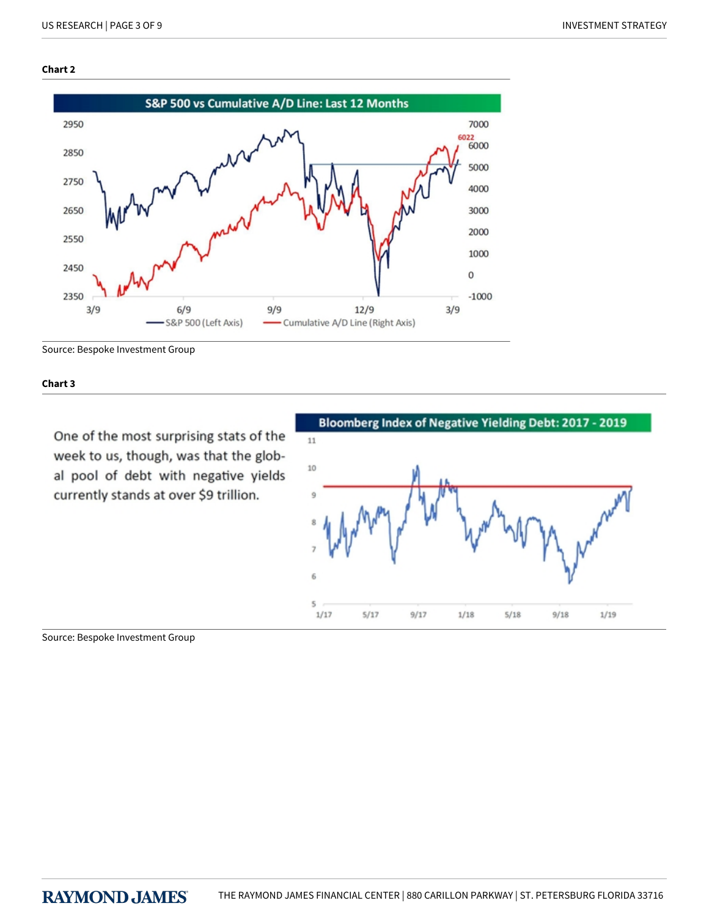## **Chart 2**



Source: Bespoke Investment Group

**Chart 3**

One of the most surprising stats of the week to us, though, was that the global pool of debt with negative yields currently stands at over \$9 trillion.

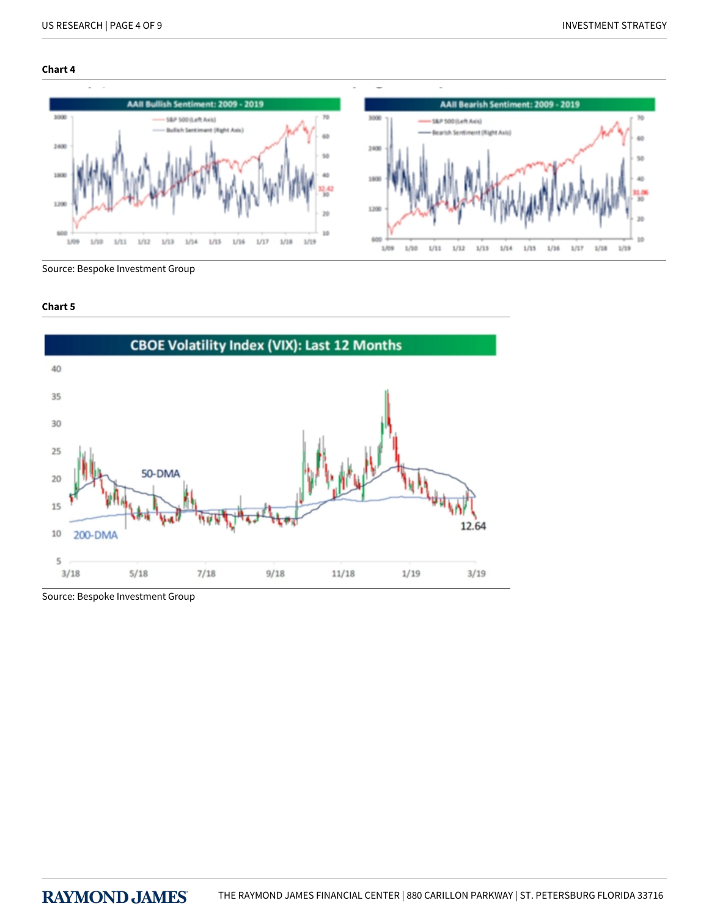### **Chart 4**



Source: Bespoke Investment Group

# **Chart 5**

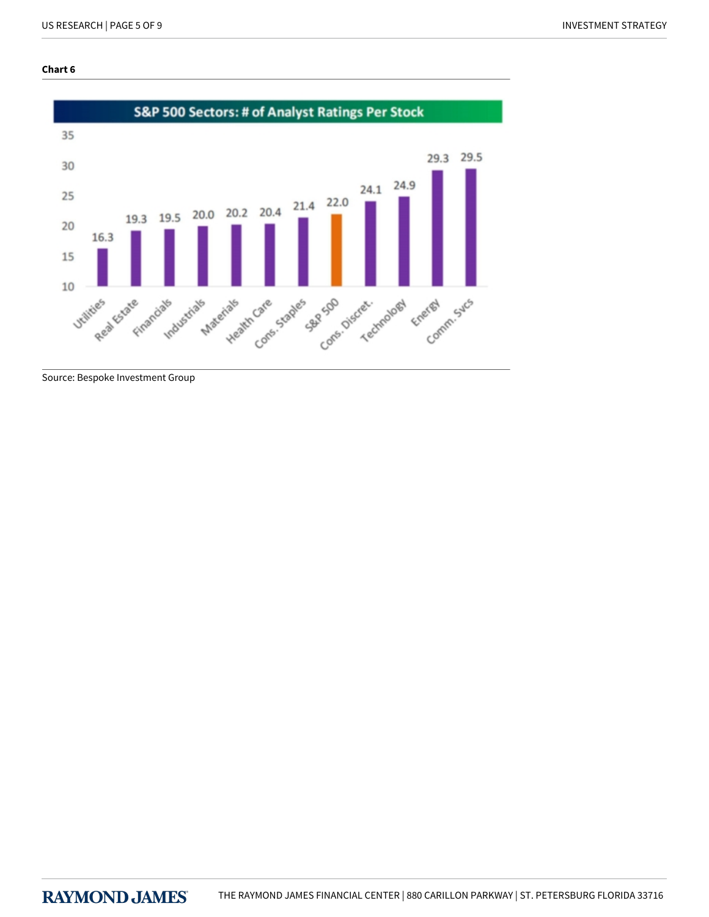### **Chart 6**

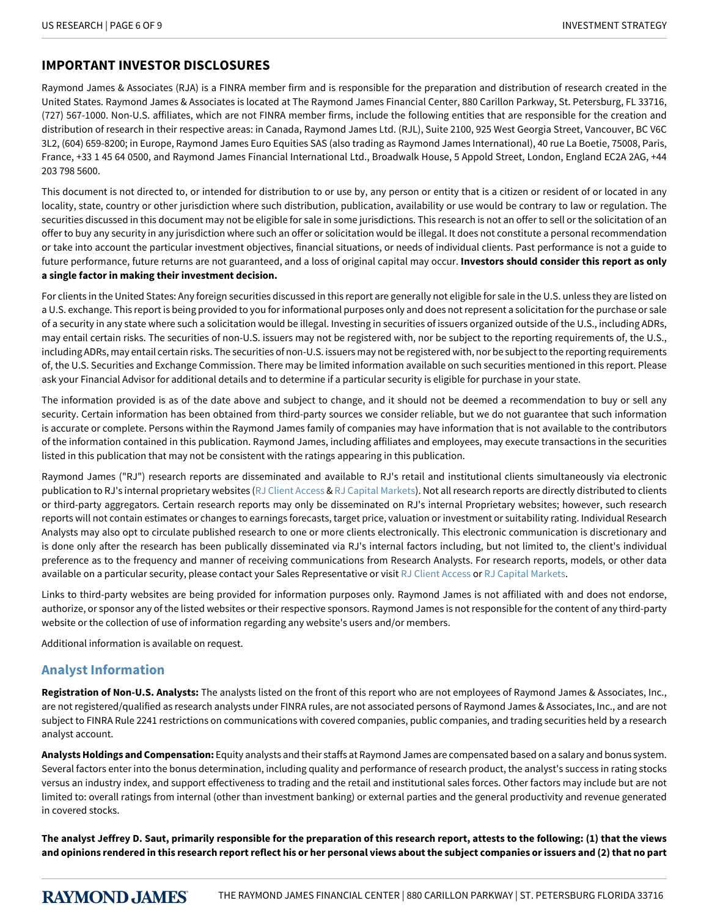# **IMPORTANT INVESTOR DISCLOSURES**

Raymond James & Associates (RJA) is a FINRA member firm and is responsible for the preparation and distribution of research created in the United States. Raymond James & Associates is located at The Raymond James Financial Center, 880 Carillon Parkway, St. Petersburg, FL 33716, (727) 567-1000. Non-U.S. affiliates, which are not FINRA member firms, include the following entities that are responsible for the creation and distribution of research in their respective areas: in Canada, Raymond James Ltd. (RJL), Suite 2100, 925 West Georgia Street, Vancouver, BC V6C 3L2, (604) 659-8200; in Europe, Raymond James Euro Equities SAS (also trading as Raymond James International), 40 rue La Boetie, 75008, Paris, France, +33 1 45 64 0500, and Raymond James Financial International Ltd., Broadwalk House, 5 Appold Street, London, England EC2A 2AG, +44 203 798 5600.

This document is not directed to, or intended for distribution to or use by, any person or entity that is a citizen or resident of or located in any locality, state, country or other jurisdiction where such distribution, publication, availability or use would be contrary to law or regulation. The securities discussed in this document may not be eligible for sale in some jurisdictions. This research is not an offer to sell or the solicitation of an offer to buy any security in any jurisdiction where such an offer or solicitation would be illegal. It does not constitute a personal recommendation or take into account the particular investment objectives, financial situations, or needs of individual clients. Past performance is not a guide to future performance, future returns are not guaranteed, and a loss of original capital may occur. **Investors should consider this report as only a single factor in making their investment decision.**

For clients in the United States: Any foreign securities discussed in this report are generally not eligible for sale in the U.S. unless they are listed on a U.S. exchange. This report is being provided to you for informational purposes only and does not represent a solicitation for the purchase or sale of a security in any state where such a solicitation would be illegal. Investing in securities of issuers organized outside of the U.S., including ADRs, may entail certain risks. The securities of non-U.S. issuers may not be registered with, nor be subject to the reporting requirements of, the U.S., including ADRs, may entail certain risks. The securities of non-U.S. issuers may not be registered with, nor be subject to the reporting requirements of, the U.S. Securities and Exchange Commission. There may be limited information available on such securities mentioned in this report. Please ask your Financial Advisor for additional details and to determine if a particular security is eligible for purchase in your state.

The information provided is as of the date above and subject to change, and it should not be deemed a recommendation to buy or sell any security. Certain information has been obtained from third-party sources we consider reliable, but we do not guarantee that such information is accurate or complete. Persons within the Raymond James family of companies may have information that is not available to the contributors of the information contained in this publication. Raymond James, including affiliates and employees, may execute transactions in the securities listed in this publication that may not be consistent with the ratings appearing in this publication.

Raymond James ("RJ") research reports are disseminated and available to RJ's retail and institutional clients simultaneously via electronic publication to RJ's internal proprietary websites [\(RJ Client Access](https://clientaccess.rjf.com/) & [RJ Capital Markets\)](http://www.rjcapitalmarkets.com/Logon/Index). Not all research reports are directly distributed to clients or third-party aggregators. Certain research reports may only be disseminated on RJ's internal Proprietary websites; however, such research reports will not contain estimates or changes to earnings forecasts, target price, valuation or investment or suitability rating. Individual Research Analysts may also opt to circulate published research to one or more clients electronically. This electronic communication is discretionary and is done only after the research has been publically disseminated via RJ's internal factors including, but not limited to, the client's individual preference as to the frequency and manner of receiving communications from Research Analysts. For research reports, models, or other data available on a particular security, please contact your Sales Representative or visit [RJ Client Access](https://clientaccess.rjf.com/) or [RJ Capital Markets](http://www.rjcapitalmarkets.com/Logon/Index).

Links to third-party websites are being provided for information purposes only. Raymond James is not affiliated with and does not endorse, authorize, or sponsor any of the listed websites or their respective sponsors. Raymond James is not responsible for the content of any third-party website or the collection of use of information regarding any website's users and/or members.

Additional information is available on request.

# **Analyst Information**

**Registration of Non-U.S. Analysts:** The analysts listed on the front of this report who are not employees of Raymond James & Associates, Inc., are not registered/qualified as research analysts under FINRA rules, are not associated persons of Raymond James & Associates, Inc., and are not subject to FINRA Rule 2241 restrictions on communications with covered companies, public companies, and trading securities held by a research analyst account.

**Analysts Holdings and Compensation:** Equity analysts and their staffs at Raymond James are compensated based on a salary and bonus system. Several factors enter into the bonus determination, including quality and performance of research product, the analyst's success in rating stocks versus an industry index, and support effectiveness to trading and the retail and institutional sales forces. Other factors may include but are not limited to: overall ratings from internal (other than investment banking) or external parties and the general productivity and revenue generated in covered stocks.

**The analyst Jeffrey D. Saut, primarily responsible for the preparation of this research report, attests to the following: (1) that the views and opinions rendered in this research report reflect his or her personal views about the subject companies or issuers and (2) that no part**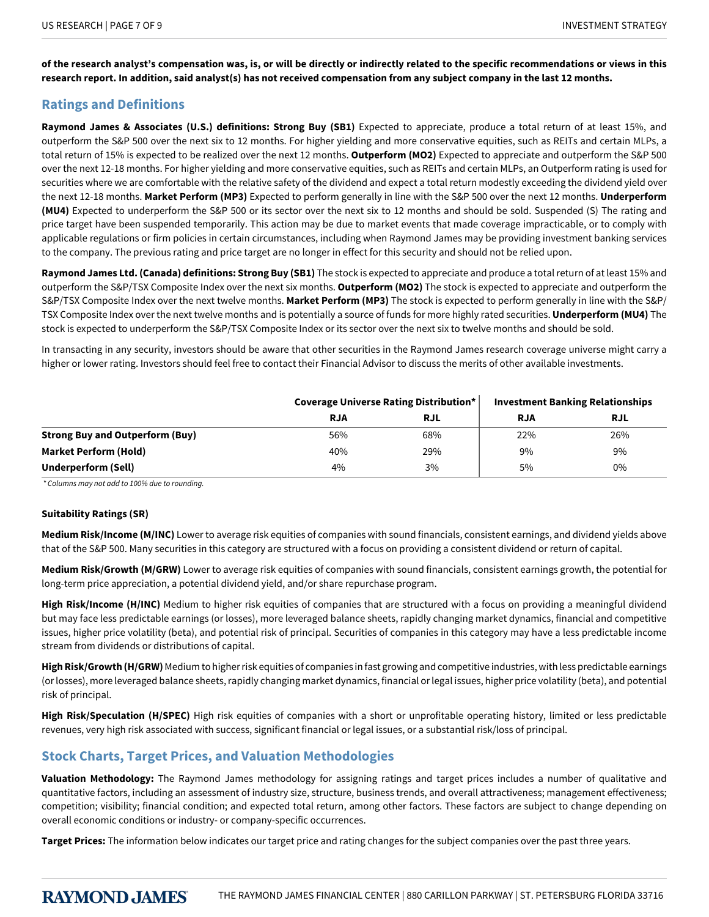**of the research analyst's compensation was, is, or will be directly or indirectly related to the specific recommendations or views in this research report. In addition, said analyst(s) has not received compensation from any subject company in the last 12 months.**

# **Ratings and Definitions**

**Raymond James & Associates (U.S.) definitions: Strong Buy (SB1)** Expected to appreciate, produce a total return of at least 15%, and outperform the S&P 500 over the next six to 12 months. For higher yielding and more conservative equities, such as REITs and certain MLPs, a total return of 15% is expected to be realized over the next 12 months. **Outperform (MO2)** Expected to appreciate and outperform the S&P 500 over the next 12-18 months. For higher yielding and more conservative equities, such as REITs and certain MLPs, an Outperform rating is used for securities where we are comfortable with the relative safety of the dividend and expect a total return modestly exceeding the dividend yield over the next 12-18 months. **Market Perform (MP3)** Expected to perform generally in line with the S&P 500 over the next 12 months. **Underperform (MU4)** Expected to underperform the S&P 500 or its sector over the next six to 12 months and should be sold. Suspended (S) The rating and price target have been suspended temporarily. This action may be due to market events that made coverage impracticable, or to comply with applicable regulations or firm policies in certain circumstances, including when Raymond James may be providing investment banking services to the company. The previous rating and price target are no longer in effect for this security and should not be relied upon.

**Raymond James Ltd. (Canada) definitions: Strong Buy (SB1)** The stock is expected to appreciate and produce a total return of at least 15% and outperform the S&P/TSX Composite Index over the next six months. **Outperform (MO2)** The stock is expected to appreciate and outperform the S&P/TSX Composite Index over the next twelve months. **Market Perform (MP3)** The stock is expected to perform generally in line with the S&P/ TSX Composite Index over the next twelve months and is potentially a source of funds for more highly rated securities. **Underperform (MU4)** The stock is expected to underperform the S&P/TSX Composite Index or its sector over the next six to twelve months and should be sold.

In transacting in any security, investors should be aware that other securities in the Raymond James research coverage universe might carry a higher or lower rating. Investors should feel free to contact their Financial Advisor to discuss the merits of other available investments.

|                                        | Coverage Universe Rating Distribution* |            | <b>Investment Banking Relationships</b> |            |
|----------------------------------------|----------------------------------------|------------|-----------------------------------------|------------|
|                                        | <b>RJA</b>                             | <b>RJL</b> | <b>RJA</b>                              | <b>RJL</b> |
| <b>Strong Buy and Outperform (Buy)</b> | 56%                                    | 68%        | 22%                                     | 26%        |
| <b>Market Perform (Hold)</b>           | 40%                                    | 29%        | 9%                                      | 9%         |
| Underperform (Sell)                    | 4%                                     | 3%         | 5%                                      | 0%         |

*\*Columnsmaynotaddto100%duetorounding.*

#### **Suitability Ratings (SR)**

**Medium Risk/Income (M/INC)** Lower to average risk equities of companies with sound financials, consistent earnings, and dividend yields above that of the S&P 500. Many securities in this category are structured with a focus on providing a consistent dividend or return of capital.

**Medium Risk/Growth (M/GRW)** Lower to average risk equities of companies with sound financials, consistent earnings growth, the potential for long-term price appreciation, a potential dividend yield, and/or share repurchase program.

High Risk/Income (H/INC) Medium to higher risk equities of companies that are structured with a focus on providing a meaningful dividend but may face less predictable earnings (or losses), more leveraged balance sheets, rapidly changing market dynamics, financial and competitive issues, higher price volatility (beta), and potential risk of principal. Securities of companies in this category may have a less predictable income stream from dividends or distributions of capital.

**High Risk/Growth (H/GRW)** Medium to higher risk equities of companies in fast growing and competitive industries, with less predictable earnings (or losses), more leveraged balance sheets, rapidly changing market dynamics, financial or legal issues, higher price volatility (beta), and potential risk of principal.

**High Risk/Speculation (H/SPEC)** High risk equities of companies with a short or unprofitable operating history, limited or less predictable revenues, very high risk associated with success, significant financial or legal issues, or a substantial risk/loss of principal.

# **Stock Charts, Target Prices, and Valuation Methodologies**

**Valuation Methodology:** The Raymond James methodology for assigning ratings and target prices includes a number of qualitative and quantitative factors, including an assessment of industry size, structure, business trends, and overall attractiveness; management effectiveness; competition; visibility; financial condition; and expected total return, among other factors. These factors are subject to change depending on overall economic conditions or industry- or company-specific occurrences.

**Target Prices:** The information below indicates our target price and rating changes for the subject companies over the past three years.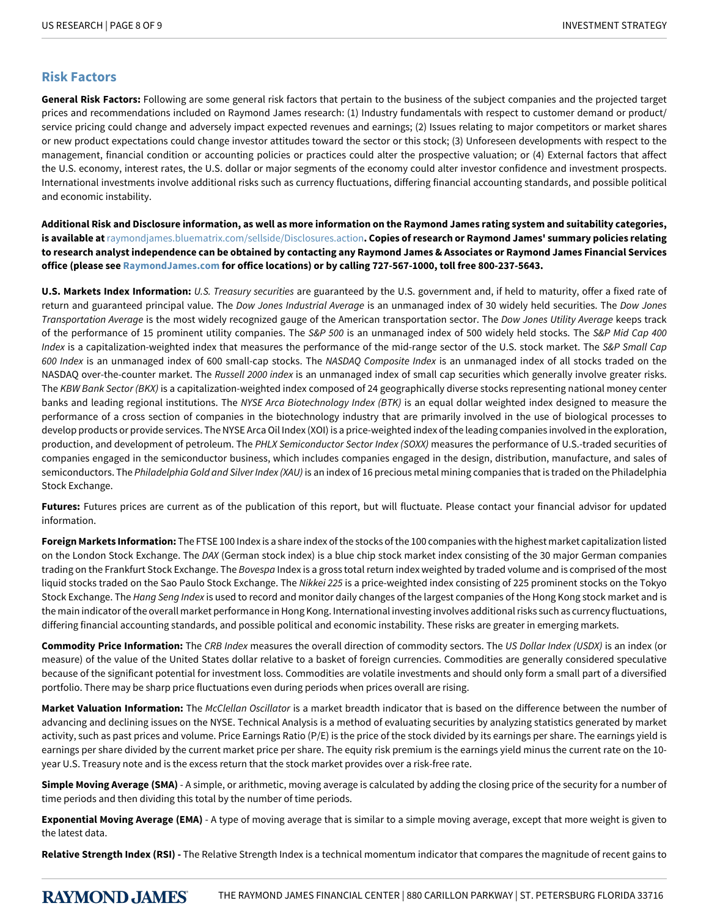# **Risk Factors**

**General Risk Factors:** Following are some general risk factors that pertain to the business of the subject companies and the projected target prices and recommendations included on Raymond James research: (1) Industry fundamentals with respect to customer demand or product/ service pricing could change and adversely impact expected revenues and earnings; (2) Issues relating to major competitors or market shares or new product expectations could change investor attitudes toward the sector or this stock; (3) Unforeseen developments with respect to the management, financial condition or accounting policies or practices could alter the prospective valuation; or (4) External factors that affect the U.S. economy, interest rates, the U.S. dollar or major segments of the economy could alter investor confidence and investment prospects. International investments involve additional risks such as currency fluctuations, differing financial accounting standards, and possible political and economic instability.

**Additional Risk and Disclosure information, as well as more information on the Raymond James rating system and suitability categories, is available at**[raymondjames.bluematrix.com/sellside/Disclosures.action](https://raymondjames.bluematrix.com/sellside/Disclosures.action)**. Copies of research or Raymond James' summary policies relating to research analyst independence can be obtained by contacting any Raymond James & Associates or Raymond James Financial Services office (please see [RaymondJames.com](http://raymondjames.com) for office locations) or by calling 727-567-1000, toll free 800-237-5643.**

**U.S. Markets Index Information:** *U.S.Treasurysecurities* are guaranteed by the U.S. government and, if held to maturity, offer a fixed rate of return and guaranteed principal value. The *Dow Jones Industrial Average* is an unmanaged index of 30 widely held securities. The *Dow Jones Transportation-verage* is the most widely recognized gauge of the American transportation sector. The *DowJonesUtility-verage* keeps track of the performance of 15 prominent utility companies. The *S&P500* is an unmanaged index of 500 widely held stocks. The *S&PMidCap400 Index* is a capitalization-weighted index that measures the performance of the mid-range sector of the U.S. stock market. The *S&P Small Cap* 600 Index is an unmanaged index of 600 small-cap stocks. The *NASDAQ Composite Index* is an unmanaged index of all stocks traded on the NASDAQ over-the-counter market. The *Russell 2000 index* is an unmanaged index of small cap securities which generally involve greater risks. The *KBW Bank Sector (BKX)* is a capitalization-weighted index composed of 24 geographically diverse stocks representing national money center banks and leading regional institutions. The NYSE Arca Biotechnology Index (BTK) is an equal dollar weighted index designed to measure the performance of a cross section of companies in the biotechnology industry that are primarily involved in the use of biological processes to develop products or provide services. The NYSE Arca Oil Index (XOI) is a price-weighted index of the leading companies involved in the exploration, production, and development of petroleum. The PHLX Semiconductor Sector Index (SOXX) measures the performance of U.S.-traded securities of companies engaged in the semiconductor business, which includes companies engaged in the design, distribution, manufacture, and sales of semiconductors. The *Philadelphia Gold and Silver Index (XAU)* is an index of 16 precious metal mining companies that is traded on the Philadelphia Stock Exchange.

**Futures:** Futures prices are current as of the publication of this report, but will fluctuate. Please contact your financial advisor for updated information.

**Foreign Markets Information:** The FTSE 100 Index is a share index of the stocks of the 100 companies with the highest market capitalization listed on the London Stock Exchange. The *DAX* (German stock index) is a blue chip stock market index consisting of the 30 major German companies trading on the Frankfurt Stock Exchange. The *Bovespa* Index is a gross total return index weighted by traded volume and is comprised of the most liquid stocks traded on the Sao Paulo Stock Exchange. The *Nikkei 225* is a price-weighted index consisting of 225 prominent stocks on the Tokyo Stock Exchange. The *Hang Seng Index* is used to record and monitor daily changes of the largest companies of the Hong Kong stock market and is the main indicator of the overall market performance in Hong Kong. International investing involves additional risks such as currency fluctuations, differing financial accounting standards, and possible political and economic instability. These risks are greater in emerging markets.

**Commodity Price Information:** The CRB Index measures the overall direction of commodity sectors. The *US Dollar Index (USDX)* is an index (or measure) of the value of the United States dollar relative to a basket of foreign currencies. Commodities are generally considered speculative because of the significant potential for investment loss. Commodities are volatile investments and should only form a small part of a diversified portfolio. There may be sharp price fluctuations even during periods when prices overall are rising.

Market Valuation Information: The *McClellan Oscillator* is a market breadth indicator that is based on the difference between the number of advancing and declining issues on the NYSE. Technical Analysis is a method of evaluating securities by analyzing statistics generated by market activity, such as past prices and volume. Price Earnings Ratio (P/E) is the price of the stock divided by its earnings per share. The earnings yield is earnings per share divided by the current market price per share. The equity risk premium is the earnings yield minus the current rate on the 10 year U.S. Treasury note and is the excess return that the stock market provides over a risk-free rate.

**Simple Moving Average (SMA)** - A simple, or arithmetic, moving average is calculated by adding the closing price of the security for a number of time periods and then dividing this total by the number of time periods.

**Exponential Moving Average (EMA)** - A type of moving average that is similar to a simple moving average, except that more weight is given to the latest data.

**Relative Strength Index (RSI) -** The Relative Strength Index is a technical momentum indicator that compares the magnitude of recent gains to